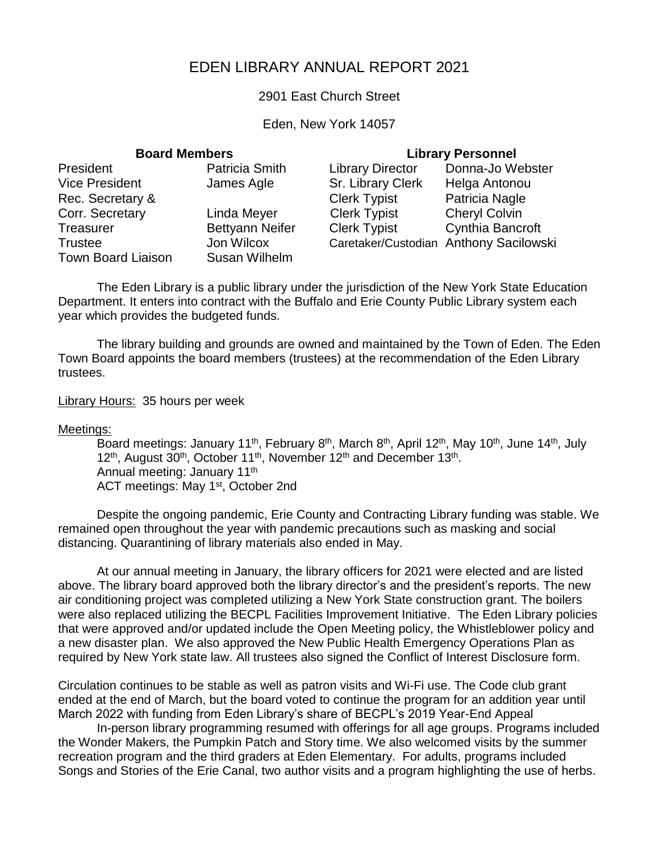# EDEN LIBRARY ANNUAL REPORT 2021

### 2901 East Church Street

### Eden, New York 14057

## **Board Members Library Personnel**

| President                 | Patricia Smith         | <b>Library Director</b>                | Donna-Jo Webster     |
|---------------------------|------------------------|----------------------------------------|----------------------|
| <b>Vice President</b>     | James Agle             | Sr. Library Clerk                      | Helga Antonou        |
| Rec. Secretary &          |                        | <b>Clerk Typist</b>                    | Patricia Nagle       |
| Corr. Secretary           | Linda Meyer            | <b>Clerk Typist</b>                    | <b>Cheryl Colvin</b> |
| Treasurer                 | <b>Bettyann Neifer</b> | <b>Clerk Typist</b>                    | Cynthia Bancroft     |
| Trustee                   | Jon Wilcox             | Caretaker/Custodian Anthony Sacilowski |                      |
| <b>Town Board Liaison</b> | Susan Wilhelm          |                                        |                      |

The Eden Library is a public library under the jurisdiction of the New York State Education Department. It enters into contract with the Buffalo and Erie County Public Library system each year which provides the budgeted funds.

The library building and grounds are owned and maintained by the Town of Eden. The Eden Town Board appoints the board members (trustees) at the recommendation of the Eden Library trustees.

Library Hours: 35 hours per week

### Meetings:

Board meetings: January 11<sup>th</sup>, February 8<sup>th</sup>, March 8<sup>th</sup>, April 12<sup>th</sup>, May 10<sup>th</sup>, June 14<sup>th</sup>, July 12<sup>th</sup>, August 30<sup>th</sup>, October 11<sup>th</sup>, November 12<sup>th</sup> and December 13<sup>th</sup>. Annual meeting: January 11th ACT meetings: May 1<sup>st</sup>, October 2nd

Despite the ongoing pandemic, Erie County and Contracting Library funding was stable. We remained open throughout the year with pandemic precautions such as masking and social distancing. Quarantining of library materials also ended in May.

At our annual meeting in January, the library officers for 2021 were elected and are listed above. The library board approved both the library director's and the president's reports. The new air conditioning project was completed utilizing a New York State construction grant. The boilers were also replaced utilizing the BECPL Facilities Improvement Initiative. The Eden Library policies that were approved and/or updated include the Open Meeting policy, the Whistleblower policy and a new disaster plan. We also approved the New Public Health Emergency Operations Plan as required by New York state law. All trustees also signed the Conflict of Interest Disclosure form.

Circulation continues to be stable as well as patron visits and Wi-Fi use. The Code club grant ended at the end of March, but the board voted to continue the program for an addition year until March 2022 with funding from Eden Library's share of BECPL's 2019 Year-End Appeal

In-person library programming resumed with offerings for all age groups. Programs included the Wonder Makers, the Pumpkin Patch and Story time. We also welcomed visits by the summer recreation program and the third graders at Eden Elementary. For adults, programs included Songs and Stories of the Erie Canal, two author visits and a program highlighting the use of herbs.